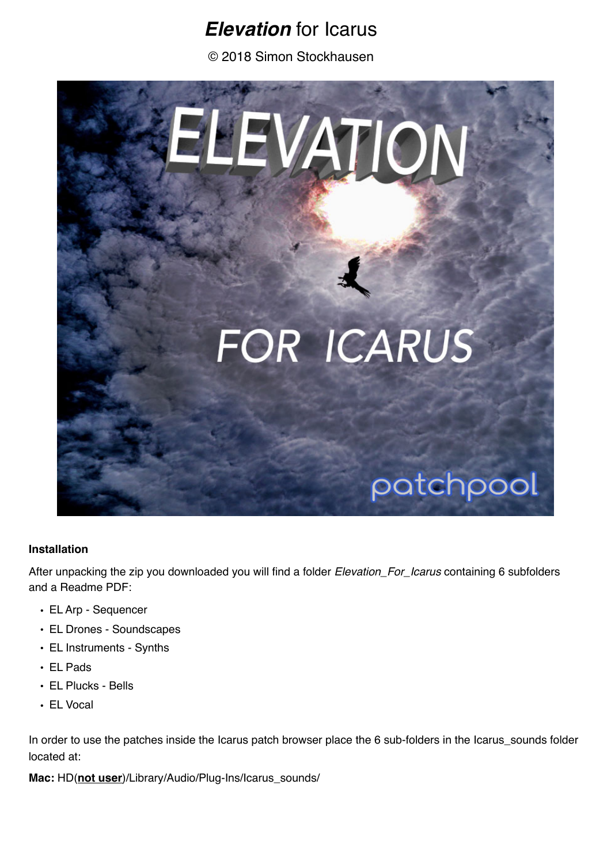# *Elevation* for Icarus

© 2018 Simon Stockhausen



#### **Installation**

After unpacking the zip you downloaded you will find a folder *Elevation\_For\_Icarus* containing 6 subfolders and a Readme PDF:

- EL Arp Sequencer
- EL Drones Soundscapes
- EL Instruments Synths
- EL Pads
- EL Plucks Bells
- EL Vocal

In order to use the patches inside the Icarus patch browser place the 6 sub-folders in the Icarus\_sounds folder located at:

**Mac:** HD(**not user**)/Library/Audio/Plug-Ins/Icarus\_sounds/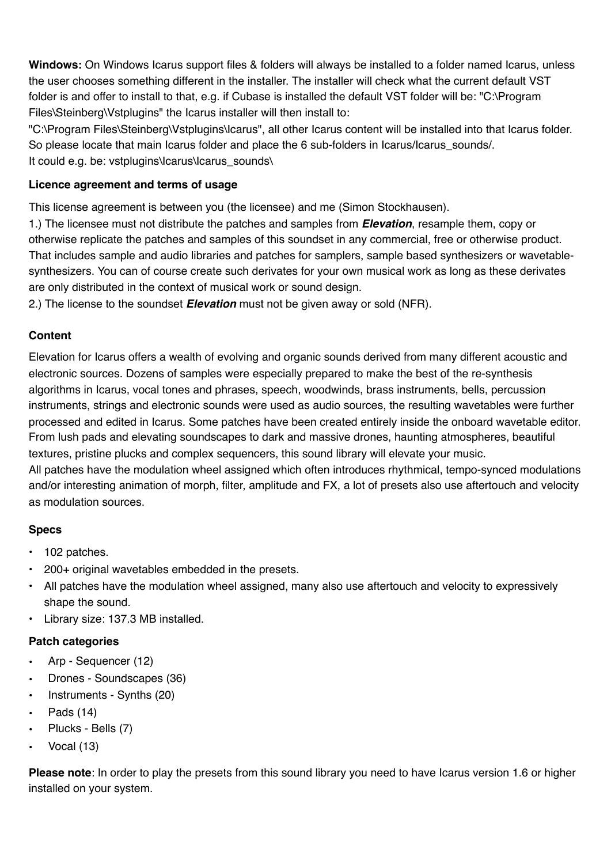**Windows:** On Windows Icarus support files & folders will always be installed to a folder named Icarus, unless the user chooses something different in the installer. The installer will check what the current default VST folder is and offer to install to that, e.g. if Cubase is installed the default VST folder will be: "C:\Program Files\Steinberg\Vstplugins" the Icarus installer will then install to:

"C:\Program Files\Steinberg\Vstplugins\Icarus", all other Icarus content will be installed into that Icarus folder. So please locate that main Icarus folder and place the 6 sub-folders in Icarus/Icarus\_sounds/. It could e.g. be: vstplugins\Icarus\Icarus\_sounds\

### **Licence agreement and terms of usage**

This license agreement is between you (the licensee) and me (Simon Stockhausen).

1.) The licensee must not distribute the patches and samples from *Elevation*, resample them, copy or otherwise replicate the patches and samples of this soundset in any commercial, free or otherwise product. That includes sample and audio libraries and patches for samplers, sample based synthesizers or wavetablesynthesizers. You can of course create such derivates for your own musical work as long as these derivates are only distributed in the context of musical work or sound design.

2.) The license to the soundset *Elevation* must not be given away or sold (NFR).

### **Content**

Elevation for [Icarus](https://www.tone2.com/icarus.html) offers a wealth of evolving and organic sounds derived from many different acoustic and electronic sources. Dozens of samples were especially prepared to make the best of the re-synthesis algorithms in Icarus, vocal tones and phrases, speech, woodwinds, brass instruments, bells, percussion instruments, strings and electronic sounds were used as audio sources, the resulting wavetables were further processed and edited in Icarus. Some patches have been created entirely inside the onboard wavetable editor. From lush pads and elevating soundscapes to dark and massive drones, haunting atmospheres, beautiful textures, pristine plucks and complex sequencers, this sound library will elevate your music. All patches have the modulation wheel assigned which often introduces rhythmical, tempo-synced modulations and/or interesting animation of morph, filter, amplitude and FX, a lot of presets also use aftertouch and velocity

#### **Specs**

• 102 patches.

as modulation sources.

- 200+ original wavetables embedded in the presets.
- All patches have the modulation wheel assigned, many also use aftertouch and velocity to expressively shape the sound.
- Library size: 137.3 MB installed.

## **Patch categories**

- Arp Sequencer (12)
- Drones Soundscapes (36)
- Instruments Synths (20)
- Pads (14)
- Plucks Bells (7)
- Vocal (13)

**Please note**: In order to play the presets from this sound library you need to have Icarus version 1.6 or higher installed on your system.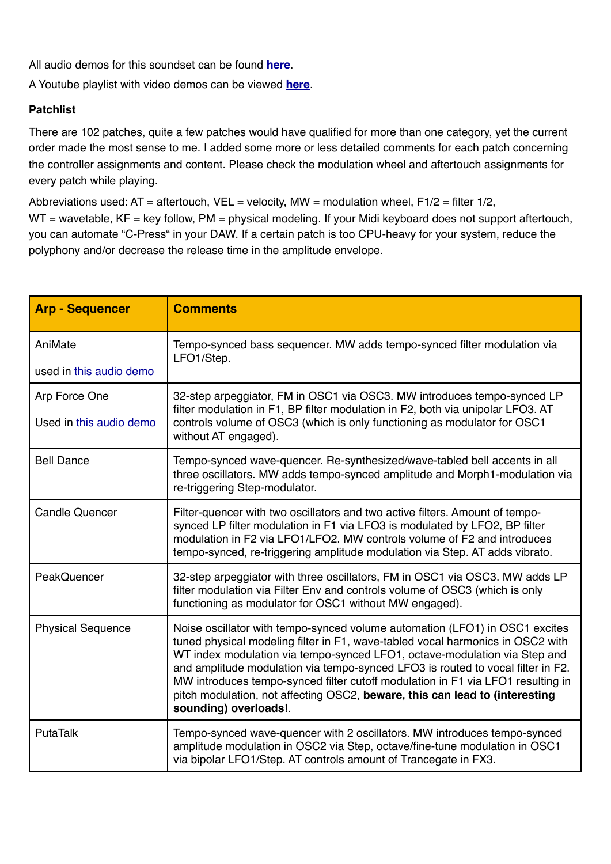All audio demos for this soundset can be found **[here](https://soundcloud.com/sampleconstruct/sets/elevation-patchpool-sound)**.

A Youtube playlist with video demos can be viewed **[here](https://www.youtube.com/watch?v=d5QiE-qo7Pc&list=PLdDy6n1e-aeOe2XxAW10GzU8fkksVvZDs)**.

## **Patchlist**

There are 102 patches, quite a few patches would have qualified for more than one category, yet the current order made the most sense to me. I added some more or less detailed comments for each patch concerning the controller assignments and content. Please check the modulation wheel and aftertouch assignments for every patch while playing.

Abbreviations used:  $AT =$  aftertouch,  $VEL =$  velocity,  $MW =$  modulation wheel,  $F1/2 =$  filter  $1/2$ , WT = wavetable, KF = key follow, PM = physical modeling. If your Midi keyboard does not support aftertouch, you can automate "C-Press" in your DAW. If a certain patch is too CPU-heavy for your system, reduce the polyphony and/or decrease the release time in the amplitude envelope.

| <b>Arp - Sequencer</b>   | <b>Comments</b>                                                                                                                                                                                                                                                                                                                                                                                                                                                                                                          |
|--------------------------|--------------------------------------------------------------------------------------------------------------------------------------------------------------------------------------------------------------------------------------------------------------------------------------------------------------------------------------------------------------------------------------------------------------------------------------------------------------------------------------------------------------------------|
| AniMate                  | Tempo-synced bass sequencer. MW adds tempo-synced filter modulation via<br>LFO1/Step.                                                                                                                                                                                                                                                                                                                                                                                                                                    |
| used in this audio demo  |                                                                                                                                                                                                                                                                                                                                                                                                                                                                                                                          |
| Arp Force One            | 32-step arpeggiator, FM in OSC1 via OSC3. MW introduces tempo-synced LP<br>filter modulation in F1, BP filter modulation in F2, both via unipolar LFO3. AT                                                                                                                                                                                                                                                                                                                                                               |
| Used in this audio demo  | controls volume of OSC3 (which is only functioning as modulator for OSC1<br>without AT engaged).                                                                                                                                                                                                                                                                                                                                                                                                                         |
| <b>Bell Dance</b>        | Tempo-synced wave-quencer. Re-synthesized/wave-tabled bell accents in all<br>three oscillators. MW adds tempo-synced amplitude and Morph1-modulation via<br>re-triggering Step-modulator.                                                                                                                                                                                                                                                                                                                                |
| <b>Candle Quencer</b>    | Filter-quencer with two oscillators and two active filters. Amount of tempo-<br>synced LP filter modulation in F1 via LFO3 is modulated by LFO2, BP filter<br>modulation in F2 via LFO1/LFO2. MW controls volume of F2 and introduces<br>tempo-synced, re-triggering amplitude modulation via Step. AT adds vibrato.                                                                                                                                                                                                     |
| PeakQuencer              | 32-step arpeggiator with three oscillators, FM in OSC1 via OSC3. MW adds LP<br>filter modulation via Filter Env and controls volume of OSC3 (which is only<br>functioning as modulator for OSC1 without MW engaged).                                                                                                                                                                                                                                                                                                     |
| <b>Physical Sequence</b> | Noise oscillator with tempo-synced volume automation (LFO1) in OSC1 excites<br>tuned physical modeling filter in F1, wave-tabled vocal harmonics in OSC2 with<br>WT index modulation via tempo-synced LFO1, octave-modulation via Step and<br>and amplitude modulation via tempo-synced LFO3 is routed to vocal filter in F2.<br>MW introduces tempo-synced filter cutoff modulation in F1 via LFO1 resulting in<br>pitch modulation, not affecting OSC2, beware, this can lead to (interesting<br>sounding) overloads!. |
| <b>PutaTalk</b>          | Tempo-synced wave-quencer with 2 oscillators. MW introduces tempo-synced<br>amplitude modulation in OSC2 via Step, octave/fine-tune modulation in OSC1<br>via bipolar LFO1/Step. AT controls amount of Trancegate in FX3.                                                                                                                                                                                                                                                                                                |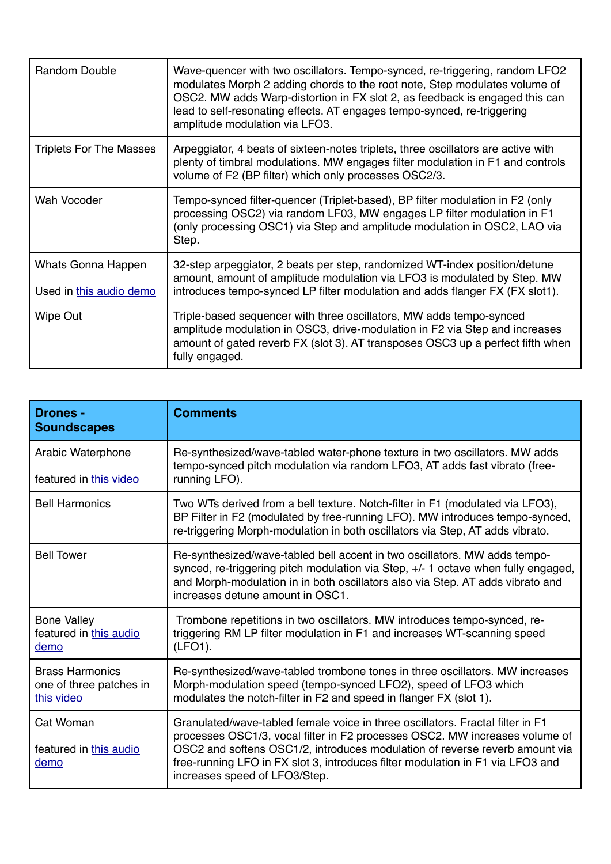| Random Double                                 | Wave-quencer with two oscillators. Tempo-synced, re-triggering, random LFO2<br>modulates Morph 2 adding chords to the root note, Step modulates volume of<br>OSC2. MW adds Warp-distortion in FX slot 2, as feedback is engaged this can<br>lead to self-resonating effects. AT engages tempo-synced, re-triggering<br>amplitude modulation via LFO3. |
|-----------------------------------------------|-------------------------------------------------------------------------------------------------------------------------------------------------------------------------------------------------------------------------------------------------------------------------------------------------------------------------------------------------------|
| <b>Triplets For The Masses</b>                | Arpeggiator, 4 beats of sixteen-notes triplets, three oscillators are active with<br>plenty of timbral modulations. MW engages filter modulation in F1 and controls<br>volume of F2 (BP filter) which only processes OSC2/3.                                                                                                                          |
| Wah Vocoder                                   | Tempo-synced filter-quencer (Triplet-based), BP filter modulation in F2 (only<br>processing OSC2) via random LF03, MW engages LP filter modulation in F1<br>(only processing OSC1) via Step and amplitude modulation in OSC2, LAO via<br>Step.                                                                                                        |
| Whats Gonna Happen<br>Used in this audio demo | 32-step arpeggiator, 2 beats per step, randomized WT-index position/detune<br>amount, amount of amplitude modulation via LFO3 is modulated by Step. MW<br>introduces tempo-synced LP filter modulation and adds flanger FX (FX slot1).                                                                                                                |
| Wipe Out                                      | Triple-based sequencer with three oscillators, MW adds tempo-synced<br>amplitude modulation in OSC3, drive-modulation in F2 via Step and increases<br>amount of gated reverb FX (slot 3). AT transposes OSC3 up a perfect fifth when<br>fully engaged.                                                                                                |

| <b>Drones -</b><br><b>Soundscapes</b>                           | <b>Comments</b>                                                                                                                                                                                                                                                                                                                                                 |
|-----------------------------------------------------------------|-----------------------------------------------------------------------------------------------------------------------------------------------------------------------------------------------------------------------------------------------------------------------------------------------------------------------------------------------------------------|
| Arabic Waterphone<br>featured in this video                     | Re-synthesized/wave-tabled water-phone texture in two oscillators. MW adds<br>tempo-synced pitch modulation via random LFO3, AT adds fast vibrato (free-<br>running LFO).                                                                                                                                                                                       |
| <b>Bell Harmonics</b>                                           | Two WTs derived from a bell texture. Notch-filter in F1 (modulated via LFO3),<br>BP Filter in F2 (modulated by free-running LFO). MW introduces tempo-synced,<br>re-triggering Morph-modulation in both oscillators via Step, AT adds vibrato.                                                                                                                  |
| <b>Bell Tower</b>                                               | Re-synthesized/wave-tabled bell accent in two oscillators. MW adds tempo-<br>synced, re-triggering pitch modulation via Step, +/- 1 octave when fully engaged,<br>and Morph-modulation in in both oscillators also via Step. AT adds vibrato and<br>increases detune amount in OSC1.                                                                            |
| <b>Bone Valley</b><br>featured in this audio<br>demo            | Trombone repetitions in two oscillators. MW introduces tempo-synced, re-<br>triggering RM LP filter modulation in F1 and increases WT-scanning speed<br>$(LFO1)$ .                                                                                                                                                                                              |
| <b>Brass Harmonics</b><br>one of three patches in<br>this video | Re-synthesized/wave-tabled trombone tones in three oscillators. MW increases<br>Morph-modulation speed (tempo-synced LFO2), speed of LFO3 which<br>modulates the notch-filter in F2 and speed in flanger FX (slot 1).                                                                                                                                           |
| Cat Woman<br>featured in this audio<br>demo                     | Granulated/wave-tabled female voice in three oscillators. Fractal filter in F1<br>processes OSC1/3, vocal filter in F2 processes OSC2. MW increases volume of<br>OSC2 and softens OSC1/2, introduces modulation of reverse reverb amount via<br>free-running LFO in FX slot 3, introduces filter modulation in F1 via LFO3 and<br>increases speed of LFO3/Step. |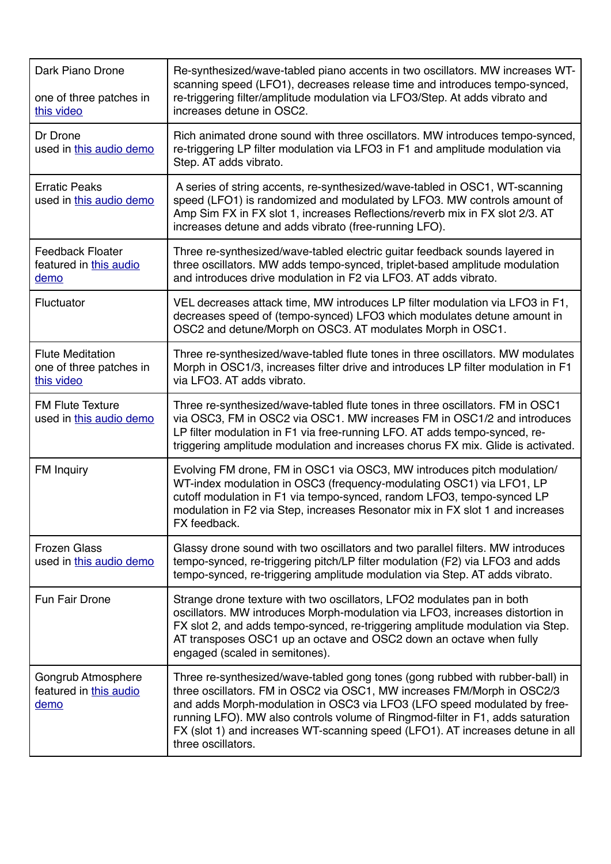| Dark Piano Drone<br>one of three patches in<br>this video        | Re-synthesized/wave-tabled piano accents in two oscillators. MW increases WT-<br>scanning speed (LFO1), decreases release time and introduces tempo-synced,<br>re-triggering filter/amplitude modulation via LFO3/Step. At adds vibrato and<br>increases detune in OSC2.                                                                                                                                                       |
|------------------------------------------------------------------|--------------------------------------------------------------------------------------------------------------------------------------------------------------------------------------------------------------------------------------------------------------------------------------------------------------------------------------------------------------------------------------------------------------------------------|
| Dr Drone<br>used in this audio demo                              | Rich animated drone sound with three oscillators. MW introduces tempo-synced,<br>re-triggering LP filter modulation via LFO3 in F1 and amplitude modulation via<br>Step. AT adds vibrato.                                                                                                                                                                                                                                      |
| <b>Erratic Peaks</b><br>used in this audio demo                  | A series of string accents, re-synthesized/wave-tabled in OSC1, WT-scanning<br>speed (LFO1) is randomized and modulated by LFO3. MW controls amount of<br>Amp Sim FX in FX slot 1, increases Reflections/reverb mix in FX slot 2/3. AT<br>increases detune and adds vibrato (free-running LFO).                                                                                                                                |
| <b>Feedback Floater</b><br>featured in this audio<br><u>demo</u> | Three re-synthesized/wave-tabled electric guitar feedback sounds layered in<br>three oscillators. MW adds tempo-synced, triplet-based amplitude modulation<br>and introduces drive modulation in F2 via LFO3. AT adds vibrato.                                                                                                                                                                                                 |
| Fluctuator                                                       | VEL decreases attack time, MW introduces LP filter modulation via LFO3 in F1,<br>decreases speed of (tempo-synced) LFO3 which modulates detune amount in<br>OSC2 and detune/Morph on OSC3. AT modulates Morph in OSC1.                                                                                                                                                                                                         |
| <b>Flute Meditation</b><br>one of three patches in<br>this video | Three re-synthesized/wave-tabled flute tones in three oscillators. MW modulates<br>Morph in OSC1/3, increases filter drive and introduces LP filter modulation in F1<br>via LFO3. AT adds vibrato.                                                                                                                                                                                                                             |
| <b>FM Flute Texture</b><br>used in this audio demo               | Three re-synthesized/wave-tabled flute tones in three oscillators. FM in OSC1<br>via OSC3, FM in OSC2 via OSC1. MW increases FM in OSC1/2 and introduces<br>LP filter modulation in F1 via free-running LFO. AT adds tempo-synced, re-<br>triggering amplitude modulation and increases chorus FX mix. Glide is activated.                                                                                                     |
| FM Inquiry                                                       | Evolving FM drone, FM in OSC1 via OSC3, MW introduces pitch modulation/<br>WT-index modulation in OSC3 (frequency-modulating OSC1) via LFO1, LP<br>cutoff modulation in F1 via tempo-synced, random LFO3, tempo-synced LP<br>modulation in F2 via Step, increases Resonator mix in FX slot 1 and increases<br>FX feedback.                                                                                                     |
| <b>Frozen Glass</b><br>used in this audio demo                   | Glassy drone sound with two oscillators and two parallel filters. MW introduces<br>tempo-synced, re-triggering pitch/LP filter modulation (F2) via LFO3 and adds<br>tempo-synced, re-triggering amplitude modulation via Step. AT adds vibrato.                                                                                                                                                                                |
| Fun Fair Drone                                                   | Strange drone texture with two oscillators, LFO2 modulates pan in both<br>oscillators. MW introduces Morph-modulation via LFO3, increases distortion in<br>FX slot 2, and adds tempo-synced, re-triggering amplitude modulation via Step.<br>AT transposes OSC1 up an octave and OSC2 down an octave when fully<br>engaged (scaled in semitones).                                                                              |
| Gongrub Atmosphere<br>featured in this audio<br>demo             | Three re-synthesized/wave-tabled gong tones (gong rubbed with rubber-ball) in<br>three oscillators. FM in OSC2 via OSC1, MW increases FM/Morph in OSC2/3<br>and adds Morph-modulation in OSC3 via LFO3 (LFO speed modulated by free-<br>running LFO). MW also controls volume of Ringmod-filter in F1, adds saturation<br>FX (slot 1) and increases WT-scanning speed (LFO1). AT increases detune in all<br>three oscillators. |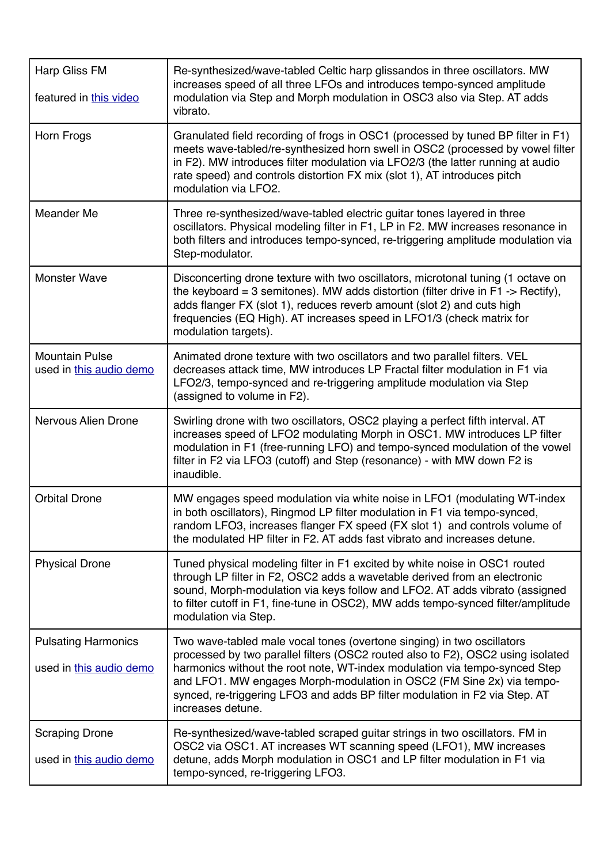| Harp Gliss FM<br>featured in this video               | Re-synthesized/wave-tabled Celtic harp glissandos in three oscillators. MW<br>increases speed of all three LFOs and introduces tempo-synced amplitude<br>modulation via Step and Morph modulation in OSC3 also via Step. AT adds<br>vibrato.                                                                                                                                                                         |
|-------------------------------------------------------|----------------------------------------------------------------------------------------------------------------------------------------------------------------------------------------------------------------------------------------------------------------------------------------------------------------------------------------------------------------------------------------------------------------------|
| Horn Frogs                                            | Granulated field recording of frogs in OSC1 (processed by tuned BP filter in F1)<br>meets wave-tabled/re-synthesized horn swell in OSC2 (processed by vowel filter<br>in F2). MW introduces filter modulation via LFO2/3 (the latter running at audio<br>rate speed) and controls distortion FX mix (slot 1), AT introduces pitch<br>modulation via LFO2.                                                            |
| Meander Me                                            | Three re-synthesized/wave-tabled electric guitar tones layered in three<br>oscillators. Physical modeling filter in F1, LP in F2. MW increases resonance in<br>both filters and introduces tempo-synced, re-triggering amplitude modulation via<br>Step-modulator.                                                                                                                                                   |
| Monster Wave                                          | Disconcerting drone texture with two oscillators, microtonal tuning (1 octave on<br>the keyboard = 3 semitones). MW adds distortion (filter drive in $F1$ -> Rectify),<br>adds flanger FX (slot 1), reduces reverb amount (slot 2) and cuts high<br>frequencies (EQ High). AT increases speed in LFO1/3 (check matrix for<br>modulation targets).                                                                    |
| <b>Mountain Pulse</b><br>used in this audio demo      | Animated drone texture with two oscillators and two parallel filters. VEL<br>decreases attack time, MW introduces LP Fractal filter modulation in F1 via<br>LFO2/3, tempo-synced and re-triggering amplitude modulation via Step<br>(assigned to volume in F2).                                                                                                                                                      |
| <b>Nervous Alien Drone</b>                            | Swirling drone with two oscillators, OSC2 playing a perfect fifth interval. AT<br>increases speed of LFO2 modulating Morph in OSC1. MW introduces LP filter<br>modulation in F1 (free-running LFO) and tempo-synced modulation of the vowel<br>filter in F2 via LFO3 (cutoff) and Step (resonance) - with MW down F2 is<br>inaudible.                                                                                |
| <b>Orbital Drone</b>                                  | MW engages speed modulation via white noise in LFO1 (modulating WT-index<br>in both oscillators), Ringmod LP filter modulation in F1 via tempo-synced,<br>random LFO3, increases flanger FX speed (FX slot 1) and controls volume of<br>the modulated HP filter in F2. AT adds fast vibrato and increases detune.                                                                                                    |
| <b>Physical Drone</b>                                 | Tuned physical modeling filter in F1 excited by white noise in OSC1 routed<br>through LP filter in F2, OSC2 adds a wavetable derived from an electronic<br>sound, Morph-modulation via keys follow and LFO2. AT adds vibrato (assigned<br>to filter cutoff in F1, fine-tune in OSC2), MW adds tempo-synced filter/amplitude<br>modulation via Step.                                                                  |
| <b>Pulsating Harmonics</b><br>used in this audio demo | Two wave-tabled male vocal tones (overtone singing) in two oscillators<br>processed by two parallel filters (OSC2 routed also to F2), OSC2 using isolated<br>harmonics without the root note, WT-index modulation via tempo-synced Step<br>and LFO1. MW engages Morph-modulation in OSC2 (FM Sine 2x) via tempo-<br>synced, re-triggering LFO3 and adds BP filter modulation in F2 via Step. AT<br>increases detune. |
| <b>Scraping Drone</b><br>used in this audio demo      | Re-synthesized/wave-tabled scraped guitar strings in two oscillators. FM in<br>OSC2 via OSC1. AT increases WT scanning speed (LFO1), MW increases<br>detune, adds Morph modulation in OSC1 and LP filter modulation in F1 via<br>tempo-synced, re-triggering LFO3.                                                                                                                                                   |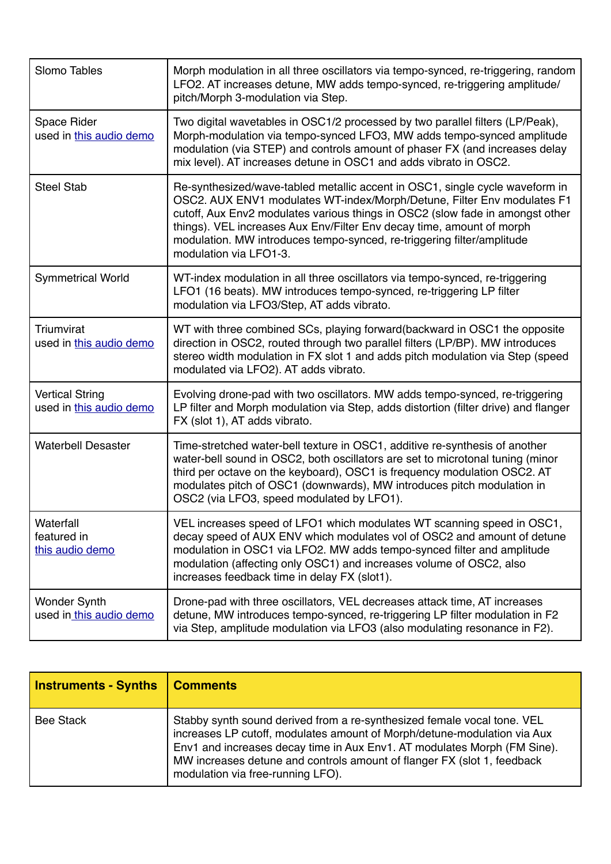| <b>Slomo Tables</b>                               | Morph modulation in all three oscillators via tempo-synced, re-triggering, random<br>LFO2. AT increases detune, MW adds tempo-synced, re-triggering amplitude/<br>pitch/Morph 3-modulation via Step.                                                                                                                                                                                                                  |
|---------------------------------------------------|-----------------------------------------------------------------------------------------------------------------------------------------------------------------------------------------------------------------------------------------------------------------------------------------------------------------------------------------------------------------------------------------------------------------------|
| Space Rider<br>used in this audio demo            | Two digital wavetables in OSC1/2 processed by two parallel filters (LP/Peak),<br>Morph-modulation via tempo-synced LFO3, MW adds tempo-synced amplitude<br>modulation (via STEP) and controls amount of phaser FX (and increases delay<br>mix level). AT increases detune in OSC1 and adds vibrato in OSC2.                                                                                                           |
| <b>Steel Stab</b>                                 | Re-synthesized/wave-tabled metallic accent in OSC1, single cycle waveform in<br>OSC2. AUX ENV1 modulates WT-index/Morph/Detune, Filter Env modulates F1<br>cutoff, Aux Env2 modulates various things in OSC2 (slow fade in amongst other<br>things). VEL increases Aux Env/Filter Env decay time, amount of morph<br>modulation. MW introduces tempo-synced, re-triggering filter/amplitude<br>modulation via LFO1-3. |
| <b>Symmetrical World</b>                          | WT-index modulation in all three oscillators via tempo-synced, re-triggering<br>LFO1 (16 beats). MW introduces tempo-synced, re-triggering LP filter<br>modulation via LFO3/Step, AT adds vibrato.                                                                                                                                                                                                                    |
| Triumvirat<br>used in this audio demo             | WT with three combined SCs, playing forward (backward in OSC1 the opposite<br>direction in OSC2, routed through two parallel filters (LP/BP). MW introduces<br>stereo width modulation in FX slot 1 and adds pitch modulation via Step (speed<br>modulated via LFO2). AT adds vibrato.                                                                                                                                |
| <b>Vertical String</b><br>used in this audio demo | Evolving drone-pad with two oscillators. MW adds tempo-synced, re-triggering<br>LP filter and Morph modulation via Step, adds distortion (filter drive) and flanger<br>FX (slot 1), AT adds vibrato.                                                                                                                                                                                                                  |
| <b>Waterbell Desaster</b>                         | Time-stretched water-bell texture in OSC1, additive re-synthesis of another<br>water-bell sound in OSC2, both oscillators are set to microtonal tuning (minor<br>third per octave on the keyboard), OSC1 is frequency modulation OSC2. AT<br>modulates pitch of OSC1 (downwards), MW introduces pitch modulation in<br>OSC2 (via LFO3, speed modulated by LFO1).                                                      |
| Waterfall<br>featured in<br>this audio demo       | VEL increases speed of LFO1 which modulates WT scanning speed in OSC1,<br>decay speed of AUX ENV which modulates vol of OSC2 and amount of detune<br>modulation in OSC1 via LFO2. MW adds tempo-synced filter and amplitude<br>modulation (affecting only OSC1) and increases volume of OSC2, also<br>increases feedback time in delay FX (slot1).                                                                    |
| <b>Wonder Synth</b><br>used in this audio demo    | Drone-pad with three oscillators, VEL decreases attack time, AT increases<br>detune, MW introduces tempo-synced, re-triggering LP filter modulation in F2<br>via Step, amplitude modulation via LFO3 (also modulating resonance in F2).                                                                                                                                                                               |

| <b>Instruments - Synths</b> | Comments                                                                                                                                                                                                                                                                                                                                        |
|-----------------------------|-------------------------------------------------------------------------------------------------------------------------------------------------------------------------------------------------------------------------------------------------------------------------------------------------------------------------------------------------|
| <b>Bee Stack</b>            | Stabby synth sound derived from a re-synthesized female vocal tone. VEL<br>increases LP cutoff, modulates amount of Morph/detune-modulation via Aux<br>Env1 and increases decay time in Aux Env1. AT modulates Morph (FM Sine).<br>MW increases detune and controls amount of flanger FX (slot 1, feedback<br>modulation via free-running LFO). |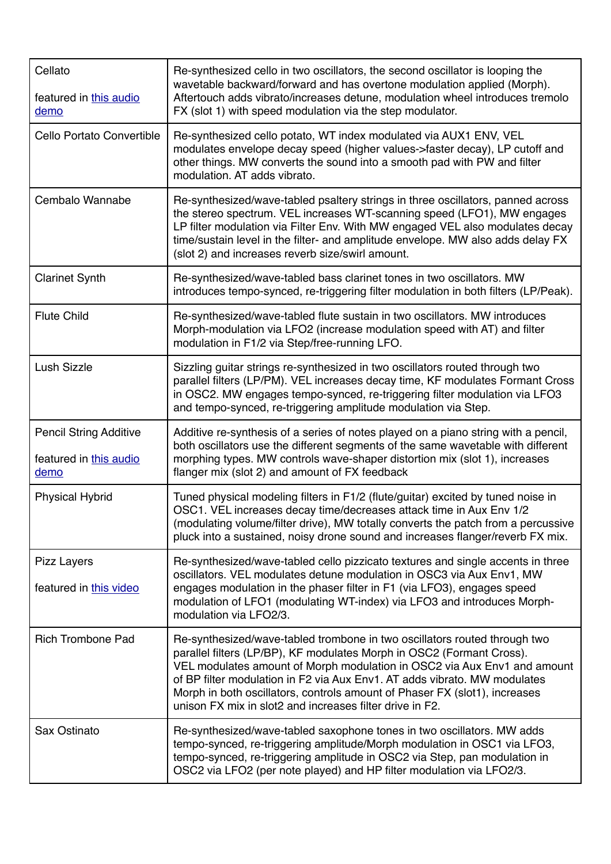| Cellato<br>featured in this audio<br>demo                       | Re-synthesized cello in two oscillators, the second oscillator is looping the<br>wavetable backward/forward and has overtone modulation applied (Morph).<br>Aftertouch adds vibrato/increases detune, modulation wheel introduces tremolo<br>FX (slot 1) with speed modulation via the step modulator.                                                                                                                                                |
|-----------------------------------------------------------------|-------------------------------------------------------------------------------------------------------------------------------------------------------------------------------------------------------------------------------------------------------------------------------------------------------------------------------------------------------------------------------------------------------------------------------------------------------|
| Cello Portato Convertible                                       | Re-synthesized cello potato, WT index modulated via AUX1 ENV, VEL<br>modulates envelope decay speed (higher values->faster decay), LP cutoff and<br>other things. MW converts the sound into a smooth pad with PW and filter<br>modulation. AT adds vibrato.                                                                                                                                                                                          |
| Cembalo Wannabe                                                 | Re-synthesized/wave-tabled psaltery strings in three oscillators, panned across<br>the stereo spectrum. VEL increases WT-scanning speed (LFO1), MW engages<br>LP filter modulation via Filter Env. With MW engaged VEL also modulates decay<br>time/sustain level in the filter- and amplitude envelope. MW also adds delay FX<br>(slot 2) and increases reverb size/swirl amount.                                                                    |
| <b>Clarinet Synth</b>                                           | Re-synthesized/wave-tabled bass clarinet tones in two oscillators. MW<br>introduces tempo-synced, re-triggering filter modulation in both filters (LP/Peak).                                                                                                                                                                                                                                                                                          |
| <b>Flute Child</b>                                              | Re-synthesized/wave-tabled flute sustain in two oscillators. MW introduces<br>Morph-modulation via LFO2 (increase modulation speed with AT) and filter<br>modulation in F1/2 via Step/free-running LFO.                                                                                                                                                                                                                                               |
| <b>Lush Sizzle</b>                                              | Sizzling guitar strings re-synthesized in two oscillators routed through two<br>parallel filters (LP/PM). VEL increases decay time, KF modulates Formant Cross<br>in OSC2. MW engages tempo-synced, re-triggering filter modulation via LFO3<br>and tempo-synced, re-triggering amplitude modulation via Step.                                                                                                                                        |
| <b>Pencil String Additive</b><br>featured in this audio<br>demo | Additive re-synthesis of a series of notes played on a piano string with a pencil,<br>both oscillators use the different segments of the same wavetable with different<br>morphing types. MW controls wave-shaper distortion mix (slot 1), increases<br>flanger mix (slot 2) and amount of FX feedback                                                                                                                                                |
| <b>Physical Hybrid</b>                                          | Tuned physical modeling filters in F1/2 (flute/guitar) excited by tuned noise in<br>OSC1. VEL increases decay time/decreases attack time in Aux Env 1/2<br>(modulating volume/filter drive), MW totally converts the patch from a percussive<br>pluck into a sustained, noisy drone sound and increases flanger/reverb FX mix.                                                                                                                        |
| <b>Pizz Layers</b><br>featured in this video                    | Re-synthesized/wave-tabled cello pizzicato textures and single accents in three<br>oscillators. VEL modulates detune modulation in OSC3 via Aux Env1, MW<br>engages modulation in the phaser filter in F1 (via LFO3), engages speed<br>modulation of LFO1 (modulating WT-index) via LFO3 and introduces Morph-<br>modulation via LFO2/3.                                                                                                              |
| <b>Rich Trombone Pad</b>                                        | Re-synthesized/wave-tabled trombone in two oscillators routed through two<br>parallel filters (LP/BP), KF modulates Morph in OSC2 (Formant Cross).<br>VEL modulates amount of Morph modulation in OSC2 via Aux Env1 and amount<br>of BP filter modulation in F2 via Aux Env1. AT adds vibrato. MW modulates<br>Morph in both oscillators, controls amount of Phaser FX (slot1), increases<br>unison FX mix in slot2 and increases filter drive in F2. |
| Sax Ostinato                                                    | Re-synthesized/wave-tabled saxophone tones in two oscillators. MW adds<br>tempo-synced, re-triggering amplitude/Morph modulation in OSC1 via LFO3,<br>tempo-synced, re-triggering amplitude in OSC2 via Step, pan modulation in<br>OSC2 via LFO2 (per note played) and HP filter modulation via LFO2/3.                                                                                                                                               |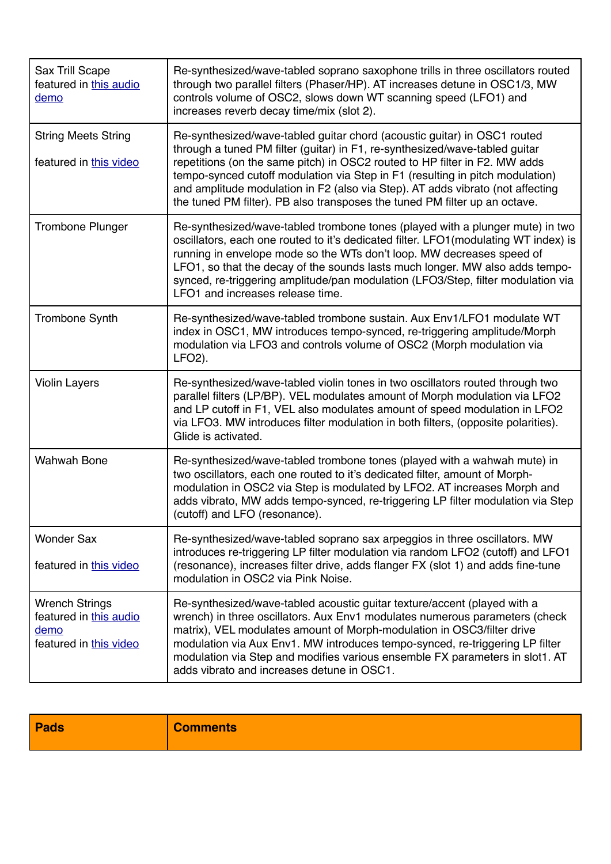| <b>Sax Trill Scape</b><br>featured in this audio<br>demo                          | Re-synthesized/wave-tabled soprano saxophone trills in three oscillators routed<br>through two parallel filters (Phaser/HP). AT increases detune in OSC1/3, MW<br>controls volume of OSC2, slows down WT scanning speed (LFO1) and<br>increases reverb decay time/mix (slot 2).                                                                                                                                                                                                        |
|-----------------------------------------------------------------------------------|----------------------------------------------------------------------------------------------------------------------------------------------------------------------------------------------------------------------------------------------------------------------------------------------------------------------------------------------------------------------------------------------------------------------------------------------------------------------------------------|
| <b>String Meets String</b><br>featured in this video                              | Re-synthesized/wave-tabled guitar chord (acoustic guitar) in OSC1 routed<br>through a tuned PM filter (guitar) in F1, re-synthesized/wave-tabled guitar<br>repetitions (on the same pitch) in OSC2 routed to HP filter in F2. MW adds<br>tempo-synced cutoff modulation via Step in F1 (resulting in pitch modulation)<br>and amplitude modulation in F2 (also via Step). AT adds vibrato (not affecting<br>the tuned PM filter). PB also transposes the tuned PM filter up an octave. |
| <b>Trombone Plunger</b>                                                           | Re-synthesized/wave-tabled trombone tones (played with a plunger mute) in two<br>oscillators, each one routed to it's dedicated filter. LFO1(modulating WT index) is<br>running in envelope mode so the WTs don't loop. MW decreases speed of<br>LFO1, so that the decay of the sounds lasts much longer. MW also adds tempo-<br>synced, re-triggering amplitude/pan modulation (LFO3/Step, filter modulation via<br>LFO1 and increases release time.                                  |
| Trombone Synth                                                                    | Re-synthesized/wave-tabled trombone sustain. Aux Env1/LFO1 modulate WT<br>index in OSC1, MW introduces tempo-synced, re-triggering amplitude/Morph<br>modulation via LFO3 and controls volume of OSC2 (Morph modulation via<br>LFO <sub>2</sub> ).                                                                                                                                                                                                                                     |
| <b>Violin Layers</b>                                                              | Re-synthesized/wave-tabled violin tones in two oscillators routed through two<br>parallel filters (LP/BP). VEL modulates amount of Morph modulation via LFO2<br>and LP cutoff in F1, VEL also modulates amount of speed modulation in LFO2<br>via LFO3. MW introduces filter modulation in both filters, (opposite polarities).<br>Glide is activated.                                                                                                                                 |
| <b>Wahwah Bone</b>                                                                | Re-synthesized/wave-tabled trombone tones (played with a wahwah mute) in<br>two oscillators, each one routed to it's dedicated filter, amount of Morph-<br>modulation in OSC2 via Step is modulated by LFO2. AT increases Morph and<br>adds vibrato, MW adds tempo-synced, re-triggering LP filter modulation via Step<br>(cutoff) and LFO (resonance).                                                                                                                                |
| <b>Wonder Sax</b><br>featured in this video                                       | Re-synthesized/wave-tabled soprano sax arpeggios in three oscillators. MW<br>introduces re-triggering LP filter modulation via random LFO2 (cutoff) and LFO1<br>(resonance), increases filter drive, adds flanger FX (slot 1) and adds fine-tune<br>modulation in OSC2 via Pink Noise.                                                                                                                                                                                                 |
| <b>Wrench Strings</b><br>featured in this audio<br>demo<br>featured in this video | Re-synthesized/wave-tabled acoustic guitar texture/accent (played with a<br>wrench) in three oscillators. Aux Env1 modulates numerous parameters (check<br>matrix), VEL modulates amount of Morph-modulation in OSC3/filter drive<br>modulation via Aux Env1. MW introduces tempo-synced, re-triggering LP filter<br>modulation via Step and modifies various ensemble FX parameters in slot1. AT<br>adds vibrato and increases detune in OSC1.                                        |

| Pads | <b>Comments</b> |
|------|-----------------|
|      |                 |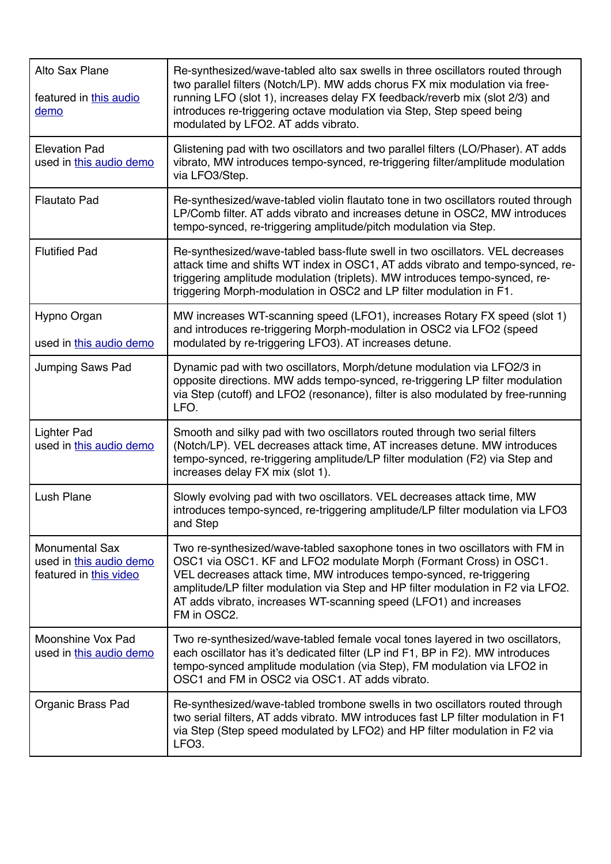| Alto Sax Plane<br>featured in this audio<br>demo                           | Re-synthesized/wave-tabled alto sax swells in three oscillators routed through<br>two parallel filters (Notch/LP). MW adds chorus FX mix modulation via free-<br>running LFO (slot 1), increases delay FX feedback/reverb mix (slot 2/3) and<br>introduces re-triggering octave modulation via Step, Step speed being<br>modulated by LFO2. AT adds vibrato.                                       |
|----------------------------------------------------------------------------|----------------------------------------------------------------------------------------------------------------------------------------------------------------------------------------------------------------------------------------------------------------------------------------------------------------------------------------------------------------------------------------------------|
| <b>Elevation Pad</b><br>used in this audio demo                            | Glistening pad with two oscillators and two parallel filters (LO/Phaser). AT adds<br>vibrato, MW introduces tempo-synced, re-triggering filter/amplitude modulation<br>via LFO3/Step.                                                                                                                                                                                                              |
| <b>Flautato Pad</b>                                                        | Re-synthesized/wave-tabled violin flautato tone in two oscillators routed through<br>LP/Comb filter. AT adds vibrato and increases detune in OSC2, MW introduces<br>tempo-synced, re-triggering amplitude/pitch modulation via Step.                                                                                                                                                               |
| <b>Flutified Pad</b>                                                       | Re-synthesized/wave-tabled bass-flute swell in two oscillators. VEL decreases<br>attack time and shifts WT index in OSC1, AT adds vibrato and tempo-synced, re-<br>triggering amplitude modulation (triplets). MW introduces tempo-synced, re-<br>triggering Morph-modulation in OSC2 and LP filter modulation in F1.                                                                              |
| Hypno Organ<br>used in this audio demo                                     | MW increases WT-scanning speed (LFO1), increases Rotary FX speed (slot 1)<br>and introduces re-triggering Morph-modulation in OSC2 via LFO2 (speed<br>modulated by re-triggering LFO3). AT increases detune.                                                                                                                                                                                       |
| Jumping Saws Pad                                                           | Dynamic pad with two oscillators, Morph/detune modulation via LFO2/3 in<br>opposite directions. MW adds tempo-synced, re-triggering LP filter modulation<br>via Step (cutoff) and LFO2 (resonance), filter is also modulated by free-running<br>LFO.                                                                                                                                               |
| <b>Lighter Pad</b><br>used in this audio demo                              | Smooth and silky pad with two oscillators routed through two serial filters<br>(Notch/LP). VEL decreases attack time, AT increases detune. MW introduces<br>tempo-synced, re-triggering amplitude/LP filter modulation (F2) via Step and<br>increases delay FX mix (slot 1).                                                                                                                       |
| Lush Plane                                                                 | Slowly evolving pad with two oscillators. VEL decreases attack time, MW<br>introduces tempo-synced, re-triggering amplitude/LP filter modulation via LFO3<br>and Step                                                                                                                                                                                                                              |
| <b>Monumental Sax</b><br>used in this audio demo<br>featured in this video | Two re-synthesized/wave-tabled saxophone tones in two oscillators with FM in<br>OSC1 via OSC1. KF and LFO2 modulate Morph (Formant Cross) in OSC1.<br>VEL decreases attack time, MW introduces tempo-synced, re-triggering<br>amplitude/LP filter modulation via Step and HP filter modulation in F2 via LFO2.<br>AT adds vibrato, increases WT-scanning speed (LFO1) and increases<br>FM in OSC2. |
| Moonshine Vox Pad<br>used in this audio demo                               | Two re-synthesized/wave-tabled female vocal tones layered in two oscillators,<br>each oscillator has it's dedicated filter (LP ind F1, BP in F2). MW introduces<br>tempo-synced amplitude modulation (via Step), FM modulation via LFO2 in<br>OSC1 and FM in OSC2 via OSC1. AT adds vibrato.                                                                                                       |
| Organic Brass Pad                                                          | Re-synthesized/wave-tabled trombone swells in two oscillators routed through<br>two serial filters, AT adds vibrato. MW introduces fast LP filter modulation in F1<br>via Step (Step speed modulated by LFO2) and HP filter modulation in F2 via<br>LFO <sub>3</sub> .                                                                                                                             |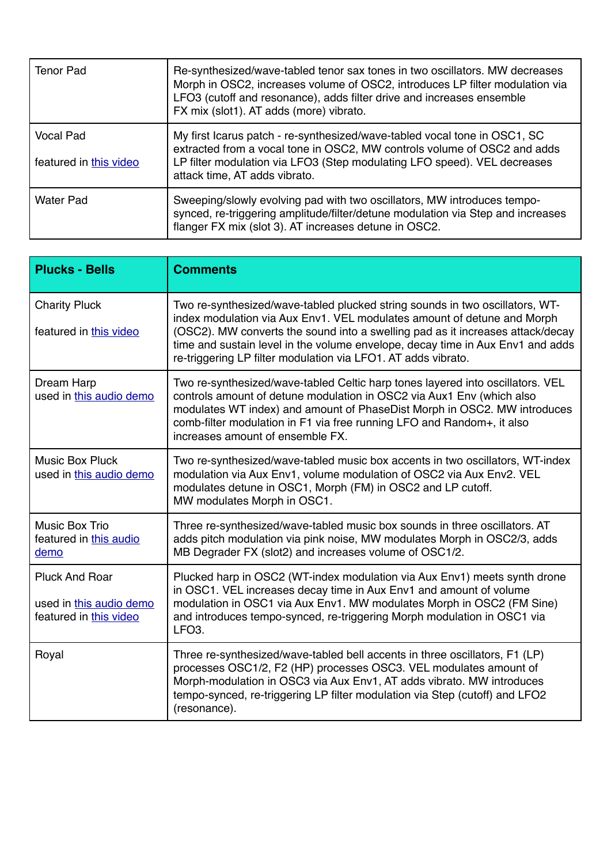| <b>Tenor Pad</b>                    | Re-synthesized/wave-tabled tenor sax tones in two oscillators. MW decreases<br>Morph in OSC2, increases volume of OSC2, introduces LP filter modulation via<br>LFO3 (cutoff and resonance), adds filter drive and increases ensemble<br>FX mix (slot1). AT adds (more) vibrato. |
|-------------------------------------|---------------------------------------------------------------------------------------------------------------------------------------------------------------------------------------------------------------------------------------------------------------------------------|
| Vocal Pad<br>featured in this video | My first Icarus patch - re-synthesized/wave-tabled vocal tone in OSC1, SC<br>extracted from a vocal tone in OSC2, MW controls volume of OSC2 and adds<br>LP filter modulation via LFO3 (Step modulating LFO speed). VEL decreases<br>attack time, AT adds vibrato.              |
| <b>Water Pad</b>                    | Sweeping/slowly evolving pad with two oscillators, MW introduces tempo-<br>synced, re-triggering amplitude/filter/detune modulation via Step and increases<br>flanger FX mix (slot 3). AT increases detune in OSC2.                                                             |

| <b>Plucks - Bells</b>                                                      | <b>Comments</b>                                                                                                                                                                                                                                                                                                                                                                              |
|----------------------------------------------------------------------------|----------------------------------------------------------------------------------------------------------------------------------------------------------------------------------------------------------------------------------------------------------------------------------------------------------------------------------------------------------------------------------------------|
| <b>Charity Pluck</b><br>featured in this video                             | Two re-synthesized/wave-tabled plucked string sounds in two oscillators, WT-<br>index modulation via Aux Env1. VEL modulates amount of detune and Morph<br>(OSC2). MW converts the sound into a swelling pad as it increases attack/decay<br>time and sustain level in the volume envelope, decay time in Aux Env1 and adds<br>re-triggering LP filter modulation via LFO1. AT adds vibrato. |
| Dream Harp<br>used in this audio demo                                      | Two re-synthesized/wave-tabled Celtic harp tones layered into oscillators. VEL<br>controls amount of detune modulation in OSC2 via Aux1 Env (which also<br>modulates WT index) and amount of PhaseDist Morph in OSC2. MW introduces<br>comb-filter modulation in F1 via free running LFO and Random+, it also<br>increases amount of ensemble FX.                                            |
| <b>Music Box Pluck</b><br>used in this audio demo                          | Two re-synthesized/wave-tabled music box accents in two oscillators, WT-index<br>modulation via Aux Env1, volume modulation of OSC2 via Aux Env2. VEL<br>modulates detune in OSC1, Morph (FM) in OSC2 and LP cutoff.<br>MW modulates Morph in OSC1.                                                                                                                                          |
| Music Box Trio<br>featured in this audio<br>demo                           | Three re-synthesized/wave-tabled music box sounds in three oscillators. AT<br>adds pitch modulation via pink noise, MW modulates Morph in OSC2/3, adds<br>MB Degrader FX (slot2) and increases volume of OSC1/2.                                                                                                                                                                             |
| <b>Pluck And Roar</b><br>used in this audio demo<br>featured in this video | Plucked harp in OSC2 (WT-index modulation via Aux Env1) meets synth drone<br>in OSC1. VEL increases decay time in Aux Env1 and amount of volume<br>modulation in OSC1 via Aux Env1. MW modulates Morph in OSC2 (FM Sine)<br>and introduces tempo-synced, re-triggering Morph modulation in OSC1 via<br>LFO <sub>3</sub> .                                                                    |
| Royal                                                                      | Three re-synthesized/wave-tabled bell accents in three oscillators, F1 (LP)<br>processes OSC1/2, F2 (HP) processes OSC3. VEL modulates amount of<br>Morph-modulation in OSC3 via Aux Env1, AT adds vibrato. MW introduces<br>tempo-synced, re-triggering LP filter modulation via Step (cutoff) and LFO2<br>(resonance).                                                                     |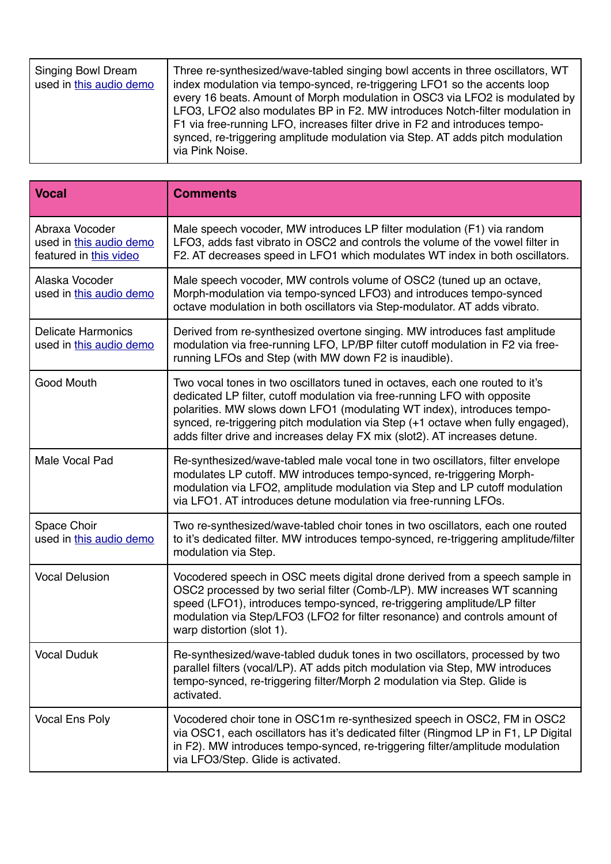| Singing Bowl Dream<br>used in this audio demo | Three re-synthesized/wave-tabled singing bowl accents in three oscillators, WT<br>index modulation via tempo-synced, re-triggering LFO1 so the accents loop<br>every 16 beats. Amount of Morph modulation in OSC3 via LFO2 is modulated by<br>LFO3, LFO2 also modulates BP in F2. MW introduces Notch-filter modulation in<br>F1 via free-running LFO, increases filter drive in F2 and introduces tempo-<br>synced, re-triggering amplitude modulation via Step. AT adds pitch modulation<br>via Pink Noise. |
|-----------------------------------------------|---------------------------------------------------------------------------------------------------------------------------------------------------------------------------------------------------------------------------------------------------------------------------------------------------------------------------------------------------------------------------------------------------------------------------------------------------------------------------------------------------------------|
|                                               |                                                                                                                                                                                                                                                                                                                                                                                                                                                                                                               |

| <b>Vocal</b>                                                        | <b>Comments</b>                                                                                                                                                                                                                                                                                                                                                                                       |
|---------------------------------------------------------------------|-------------------------------------------------------------------------------------------------------------------------------------------------------------------------------------------------------------------------------------------------------------------------------------------------------------------------------------------------------------------------------------------------------|
| Abraxa Vocoder<br>used in this audio demo<br>featured in this video | Male speech vocoder, MW introduces LP filter modulation (F1) via random<br>LFO3, adds fast vibrato in OSC2 and controls the volume of the vowel filter in<br>F2. AT decreases speed in LFO1 which modulates WT index in both oscillators.                                                                                                                                                             |
| Alaska Vocoder<br>used in this audio demo                           | Male speech vocoder, MW controls volume of OSC2 (tuned up an octave,<br>Morph-modulation via tempo-synced LFO3) and introduces tempo-synced<br>octave modulation in both oscillators via Step-modulator. AT adds vibrato.                                                                                                                                                                             |
| <b>Delicate Harmonics</b><br>used in this audio demo                | Derived from re-synthesized overtone singing. MW introduces fast amplitude<br>modulation via free-running LFO, LP/BP filter cutoff modulation in F2 via free-<br>running LFOs and Step (with MW down F2 is inaudible).                                                                                                                                                                                |
| Good Mouth                                                          | Two vocal tones in two oscillators tuned in octaves, each one routed to it's<br>dedicated LP filter, cutoff modulation via free-running LFO with opposite<br>polarities. MW slows down LFO1 (modulating WT index), introduces tempo-<br>synced, re-triggering pitch modulation via Step (+1 octave when fully engaged),<br>adds filter drive and increases delay FX mix (slot2). AT increases detune. |
| Male Vocal Pad                                                      | Re-synthesized/wave-tabled male vocal tone in two oscillators, filter envelope<br>modulates LP cutoff. MW introduces tempo-synced, re-triggering Morph-<br>modulation via LFO2, amplitude modulation via Step and LP cutoff modulation<br>via LFO1. AT introduces detune modulation via free-running LFOs.                                                                                            |
| Space Choir<br>used in this audio demo                              | Two re-synthesized/wave-tabled choir tones in two oscillators, each one routed<br>to it's dedicated filter. MW introduces tempo-synced, re-triggering amplitude/filter<br>modulation via Step.                                                                                                                                                                                                        |
| <b>Vocal Delusion</b>                                               | Vocodered speech in OSC meets digital drone derived from a speech sample in<br>OSC2 processed by two serial filter (Comb-/LP). MW increases WT scanning<br>speed (LFO1), introduces tempo-synced, re-triggering amplitude/LP filter<br>modulation via Step/LFO3 (LFO2 for filter resonance) and controls amount of<br>warp distortion (slot 1).                                                       |
| <b>Vocal Duduk</b>                                                  | Re-synthesized/wave-tabled duduk tones in two oscillators, processed by two<br>parallel filters (vocal/LP). AT adds pitch modulation via Step, MW introduces<br>tempo-synced, re-triggering filter/Morph 2 modulation via Step. Glide is<br>activated.                                                                                                                                                |
| <b>Vocal Ens Poly</b>                                               | Vocodered choir tone in OSC1m re-synthesized speech in OSC2, FM in OSC2<br>via OSC1, each oscillators has it's dedicated filter (Ringmod LP in F1, LP Digital<br>in F2). MW introduces tempo-synced, re-triggering filter/amplitude modulation<br>via LFO3/Step. Glide is activated.                                                                                                                  |